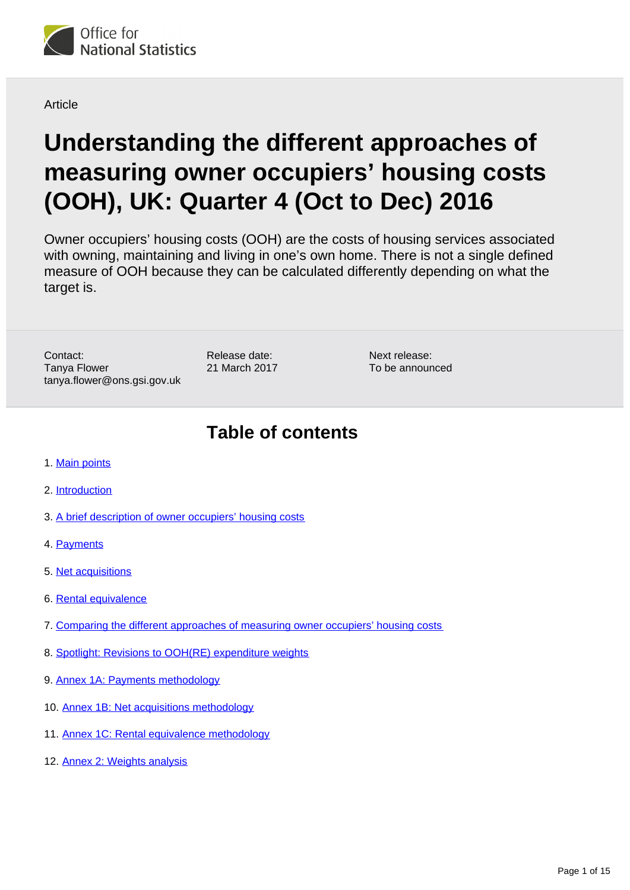

**Article** 

# **Understanding the different approaches of measuring owner occupiers' housing costs (OOH), UK: Quarter 4 (Oct to Dec) 2016**

Owner occupiers' housing costs (OOH) are the costs of housing services associated with owning, maintaining and living in one's own home. There is not a single defined measure of OOH because they can be calculated differently depending on what the target is.

Contact: Tanya Flower tanya.flower@ons.gsi.gov.uk

Release date: 21 March 2017 Next release: To be announced

# **Table of contents**

- 1. [Main points](#page-1-0)
- 2. [Introduction](#page-1-1)
- 3. [A brief description of owner occupiers' housing costs](#page-2-0)
- 4. [Payments](#page-2-1)
- 5. [Net acquisitions](#page-4-0)
- 6. [Rental equivalence](#page-6-0)
- 7. [Comparing the different approaches of measuring owner occupiers' housing costs](#page-7-0)
- 8. [Spotlight: Revisions to OOH\(RE\) expenditure weights](#page-8-0)
- 9. [Annex 1A: Payments methodology](#page-11-0)
- 10. [Annex 1B: Net acquisitions methodology](#page-12-0)
- 11. [Annex 1C: Rental equivalence methodology](#page-13-0)
- 12. [Annex 2: Weights analysis](#page-14-0)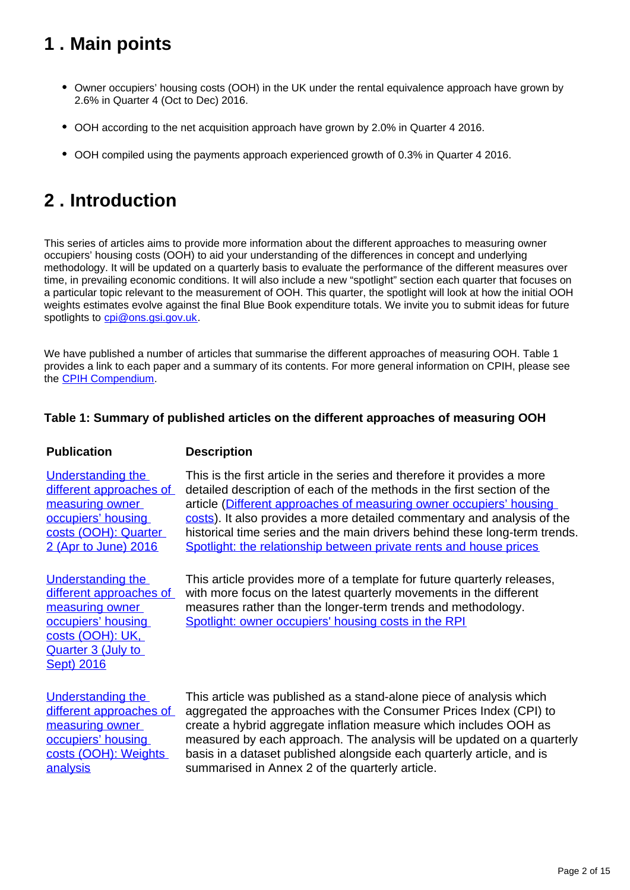# <span id="page-1-0"></span>**1 . Main points**

- Owner occupiers' housing costs (OOH) in the UK under the rental equivalence approach have grown by 2.6% in Quarter 4 (Oct to Dec) 2016.
- OOH according to the net acquisition approach have grown by 2.0% in Quarter 4 2016.
- OOH compiled using the payments approach experienced growth of 0.3% in Quarter 4 2016.

# <span id="page-1-1"></span>**2 . Introduction**

This series of articles aims to provide more information about the different approaches to measuring owner occupiers' housing costs (OOH) to aid your understanding of the differences in concept and underlying methodology. It will be updated on a quarterly basis to evaluate the performance of the different measures over time, in prevailing economic conditions. It will also include a new "spotlight" section each quarter that focuses on a particular topic relevant to the measurement of OOH. This quarter, the spotlight will look at how the initial OOH weights estimates evolve against the final Blue Book expenditure totals. We invite you to submit ideas for future spotlights to cpi@ons.gsi.gov.uk.

We have published a number of articles that summarise the different approaches of measuring OOH. Table 1 provides a link to each paper and a summary of its contents. For more general information on CPIH, please see the [CPIH Compendium.](https://www.ons.gov.uk/economy/inflationandpriceindices/articles/cpihcompendium/2016-10-13)

### **Table 1: Summary of published articles on the different approaches of measuring OOH**

### **Publication Description**

[Understanding the](https://www.ons.gov.uk/economy/inflationandpriceindices/articles/understandingthedifferentapproachesofmeasuringowneroccupiershousingcosts/quarter2aprtojune2016)  different approaches of [measuring owner](https://www.ons.gov.uk/economy/inflationandpriceindices/articles/understandingthedifferentapproachesofmeasuringowneroccupiershousingcosts/quarter2aprtojune2016)  [occupiers' housing](https://www.ons.gov.uk/economy/inflationandpriceindices/articles/understandingthedifferentapproachesofmeasuringowneroccupiershousingcosts/quarter2aprtojune2016)  [costs \(OOH\): Quarter](https://www.ons.gov.uk/economy/inflationandpriceindices/articles/understandingthedifferentapproachesofmeasuringowneroccupiershousingcosts/quarter2aprtojune2016)  [2 \(Apr to June\) 2016](https://www.ons.gov.uk/economy/inflationandpriceindices/articles/understandingthedifferentapproachesofmeasuringowneroccupiershousingcosts/quarter2aprtojune2016)

[Understanding the](https://www.ons.gov.uk/economy/inflationandpriceindices/articles/understandingthedifferentapproachesofmeasuringowneroccupiershousingcosts/quarter3julytosept2016)  different approaches of [measuring owner](https://www.ons.gov.uk/economy/inflationandpriceindices/articles/understandingthedifferentapproachesofmeasuringowneroccupiershousingcosts/quarter3julytosept2016)  [occupiers' housing](https://www.ons.gov.uk/economy/inflationandpriceindices/articles/understandingthedifferentapproachesofmeasuringowneroccupiershousingcosts/quarter3julytosept2016)  [costs \(OOH\): UK,](https://www.ons.gov.uk/economy/inflationandpriceindices/articles/understandingthedifferentapproachesofmeasuringowneroccupiershousingcosts/quarter3julytosept2016)  Quarter 3 (July to [Sept\) 2016](https://www.ons.gov.uk/economy/inflationandpriceindices/articles/understandingthedifferentapproachesofmeasuringowneroccupiershousingcosts/quarter3julytosept2016)

detailed description of each of the methods in the first section of the article [\(Different approaches of measuring owner occupiers' housing](https://www.ons.gov.uk/economy/inflationandpriceindices/articles/understandingthedifferentapproachesofmeasuringowneroccupiershousingcosts/quarter2aprtojune2016#different-approaches-of-measuring-owner-occupiers-housing-costs)  [costs\)](https://www.ons.gov.uk/economy/inflationandpriceindices/articles/understandingthedifferentapproachesofmeasuringowneroccupiershousingcosts/quarter2aprtojune2016#different-approaches-of-measuring-owner-occupiers-housing-costs). It also provides a more detailed commentary and analysis of the historical time series and the main drivers behind these long-term trends. [Spotlight: the relationship between private rents and house prices](https://www.ons.gov.uk/economy/inflationandpriceindices/articles/understandingthedifferentapproachesofmeasuringowneroccupiershousingcosts/quarter2aprtojune2016#spotlight-the-relationship-between-private-rents-and-house-prices)

This is the first article in the series and therefore it provides a more

This article provides more of a template for future quarterly releases, with more focus on the latest quarterly movements in the different measures rather than the longer-term trends and methodology. [Spotlight: owner occupiers' housing costs in the RPI](https://www.ons.gov.uk/economy/inflationandpriceindices/articles/understandingthedifferentapproachesofmeasuringowneroccupiershousingcosts/quarter3julytosept2016#spotlight-owner-occupiers-housing-costs-in-the-rpi)

Understanding the different approaches of [measuring owner](https://www.ons.gov.uk/economy/inflationandpriceindices/articles/understandingthedifferentapproachesofmeasuringowneroccupiershousingcostsooh/weightsanalysis)  [occupiers' housing](https://www.ons.gov.uk/economy/inflationandpriceindices/articles/understandingthedifferentapproachesofmeasuringowneroccupiershousingcostsooh/weightsanalysis)  [costs \(OOH\): Weights](https://www.ons.gov.uk/economy/inflationandpriceindices/articles/understandingthedifferentapproachesofmeasuringowneroccupiershousingcostsooh/weightsanalysis)  [analysis](https://www.ons.gov.uk/economy/inflationandpriceindices/articles/understandingthedifferentapproachesofmeasuringowneroccupiershousingcostsooh/weightsanalysis)

This article was published as a stand-alone piece of analysis which aggregated the approaches with the Consumer Prices Index (CPI) to create a hybrid aggregate inflation measure which includes OOH as measured by each approach. The analysis will be updated on a quarterly basis in a dataset published alongside each quarterly article, and is summarised in Annex 2 of the quarterly article.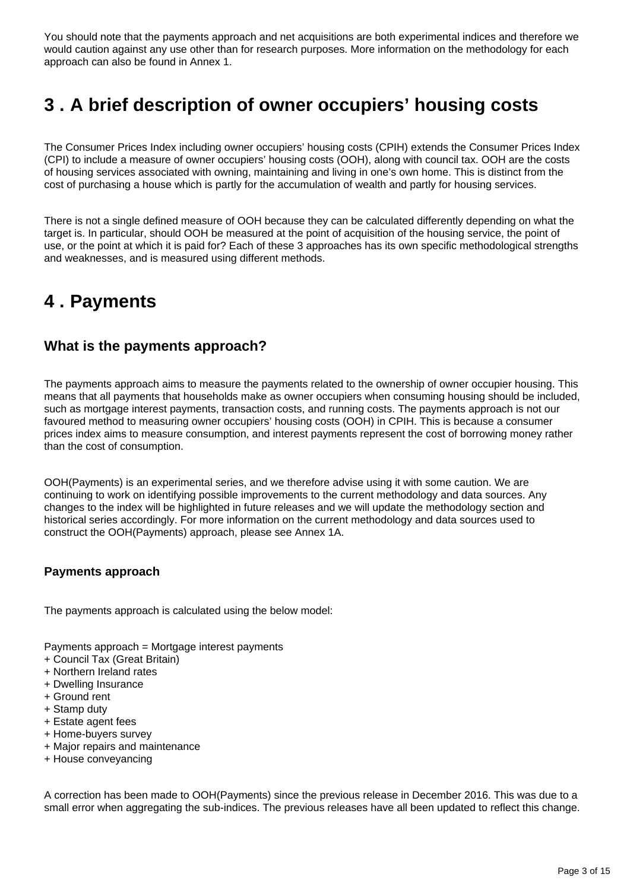You should note that the payments approach and net acquisitions are both experimental indices and therefore we would caution against any use other than for research purposes. More information on the methodology for each approach can also be found in Annex 1.

# <span id="page-2-0"></span>**3 . A brief description of owner occupiers' housing costs**

The Consumer Prices Index including owner occupiers' housing costs (CPIH) extends the Consumer Prices Index (CPI) to include a measure of owner occupiers' housing costs (OOH), along with council tax. OOH are the costs of housing services associated with owning, maintaining and living in one's own home. This is distinct from the cost of purchasing a house which is partly for the accumulation of wealth and partly for housing services.

There is not a single defined measure of OOH because they can be calculated differently depending on what the target is. In particular, should OOH be measured at the point of acquisition of the housing service, the point of use, or the point at which it is paid for? Each of these 3 approaches has its own specific methodological strengths and weaknesses, and is measured using different methods.

# <span id="page-2-1"></span>**4 . Payments**

### **What is the payments approach?**

The payments approach aims to measure the payments related to the ownership of owner occupier housing. This means that all payments that households make as owner occupiers when consuming housing should be included, such as mortgage interest payments, transaction costs, and running costs. The payments approach is not our favoured method to measuring owner occupiers' housing costs (OOH) in CPIH. This is because a consumer prices index aims to measure consumption, and interest payments represent the cost of borrowing money rather than the cost of consumption.

OOH(Payments) is an experimental series, and we therefore advise using it with some caution. We are continuing to work on identifying possible improvements to the current methodology and data sources. Any changes to the index will be highlighted in future releases and we will update the methodology section and historical series accordingly. For more information on the current methodology and data sources used to construct the OOH(Payments) approach, please see Annex 1A.

### **Payments approach**

The payments approach is calculated using the below model:

Payments approach = Mortgage interest payments

- + Council Tax (Great Britain)
- + Northern Ireland rates
- + Dwelling Insurance
- + Ground rent
- + Stamp duty
- + Estate agent fees
- + Home-buyers survey
- + Major repairs and maintenance
- + House conveyancing

A correction has been made to OOH(Payments) since the previous release in December 2016. This was due to a small error when aggregating the sub-indices. The previous releases have all been updated to reflect this change.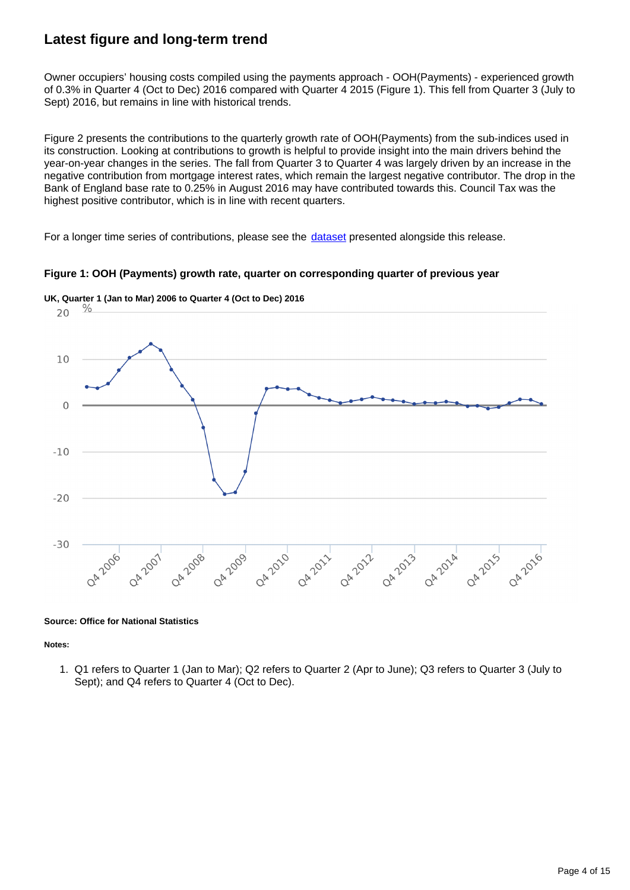### **Latest figure and long-term trend**

Owner occupiers' housing costs compiled using the payments approach - OOH(Payments) - experienced growth of 0.3% in Quarter 4 (Oct to Dec) 2016 compared with Quarter 4 2015 (Figure 1). This fell from Quarter 3 (July to Sept) 2016, but remains in line with historical trends.

Figure 2 presents the contributions to the quarterly growth rate of OOH(Payments) from the sub-indices used in its construction. Looking at contributions to growth is helpful to provide insight into the main drivers behind the year-on-year changes in the series. The fall from Quarter 3 to Quarter 4 was largely driven by an increase in the negative contribution from mortgage interest rates, which remain the largest negative contributor. The drop in the Bank of England base rate to 0.25% in August 2016 may have contributed towards this. Council Tax was the highest positive contributor, which is in line with recent quarters.

For a longer time series of contributions, please see the *[dataset](https://www.ons.gov.uk/economy/inflationandpriceindices/datasets/understandingthedifferentapproachesofmeasuringowneroccupiershousingcosts)* presented alongside this release.

#### **Figure 1: OOH (Payments) growth rate, quarter on corresponding quarter of previous year**



**UK, Quarter 1 (Jan to Mar) 2006 to Quarter 4 (Oct to Dec) 2016**

#### **Source: Office for National Statistics**

#### **Notes:**

1. Q1 refers to Quarter 1 (Jan to Mar); Q2 refers to Quarter 2 (Apr to June); Q3 refers to Quarter 3 (July to Sept); and Q4 refers to Quarter 4 (Oct to Dec).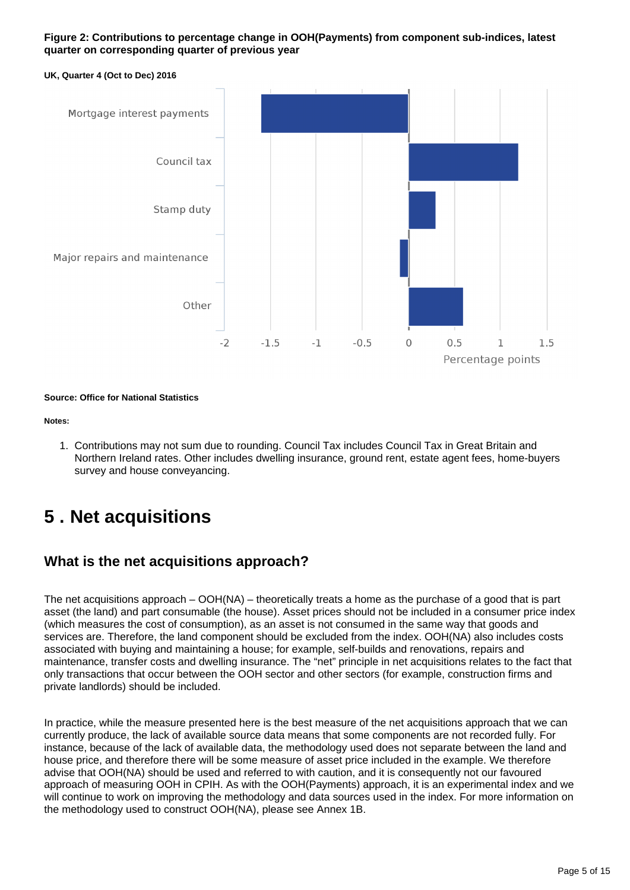#### **Figure 2: Contributions to percentage change in OOH(Payments) from component sub-indices, latest quarter on corresponding quarter of previous year**





**Source: Office for National Statistics**

**Notes:**

1. Contributions may not sum due to rounding. Council Tax includes Council Tax in Great Britain and Northern Ireland rates. Other includes dwelling insurance, ground rent, estate agent fees, home-buyers survey and house conveyancing.

# <span id="page-4-0"></span>**5 . Net acquisitions**

### **What is the net acquisitions approach?**

The net acquisitions approach – OOH(NA) – theoretically treats a home as the purchase of a good that is part asset (the land) and part consumable (the house). Asset prices should not be included in a consumer price index (which measures the cost of consumption), as an asset is not consumed in the same way that goods and services are. Therefore, the land component should be excluded from the index. OOH(NA) also includes costs associated with buying and maintaining a house; for example, self-builds and renovations, repairs and maintenance, transfer costs and dwelling insurance. The "net" principle in net acquisitions relates to the fact that only transactions that occur between the OOH sector and other sectors (for example, construction firms and private landlords) should be included.

In practice, while the measure presented here is the best measure of the net acquisitions approach that we can currently produce, the lack of available source data means that some components are not recorded fully. For instance, because of the lack of available data, the methodology used does not separate between the land and house price, and therefore there will be some measure of asset price included in the example. We therefore advise that OOH(NA) should be used and referred to with caution, and it is consequently not our favoured approach of measuring OOH in CPIH. As with the OOH(Payments) approach, it is an experimental index and we will continue to work on improving the methodology and data sources used in the index. For more information on the methodology used to construct OOH(NA), please see Annex 1B.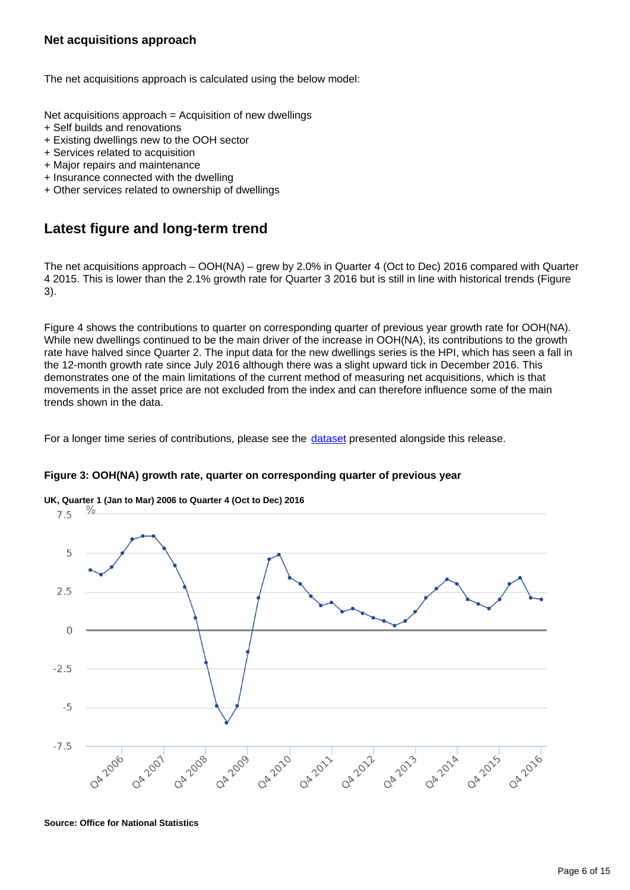The net acquisitions approach is calculated using the below model:

Net acquisitions approach = Acquisition of new dwellings

- + Self builds and renovations
- + Existing dwellings new to the OOH sector
- + Services related to acquisition
- + Major repairs and maintenance
- + Insurance connected with the dwelling
- + Other services related to ownership of dwellings

### **Latest figure and long-term trend**

The net acquisitions approach – OOH(NA) – grew by 2.0% in Quarter 4 (Oct to Dec) 2016 compared with Quarter 4 2015. This is lower than the 2.1% growth rate for Quarter 3 2016 but is still in line with historical trends (Figure 3).

Figure 4 shows the contributions to quarter on corresponding quarter of previous year growth rate for OOH(NA). While new dwellings continued to be the main driver of the increase in OOH(NA), its contributions to the growth rate have halved since Quarter 2. The input data for the new dwellings series is the HPI, which has seen a fall in the 12-month growth rate since July 2016 although there was a slight upward tick in December 2016. This demonstrates one of the main limitations of the current method of measuring net acquisitions, which is that movements in the asset price are not excluded from the index and can therefore influence some of the main trends shown in the data.

For a longer time series of contributions, please see the [dataset](https://www.ons.gov.uk/economy/inflationandpriceindices/datasets/understandingthedifferentapproachesofmeasuringowneroccupiershousingcosts) presented alongside this release.

**Figure 3: OOH(NA) growth rate, quarter on corresponding quarter of previous year**



**Source: Office for National Statistics**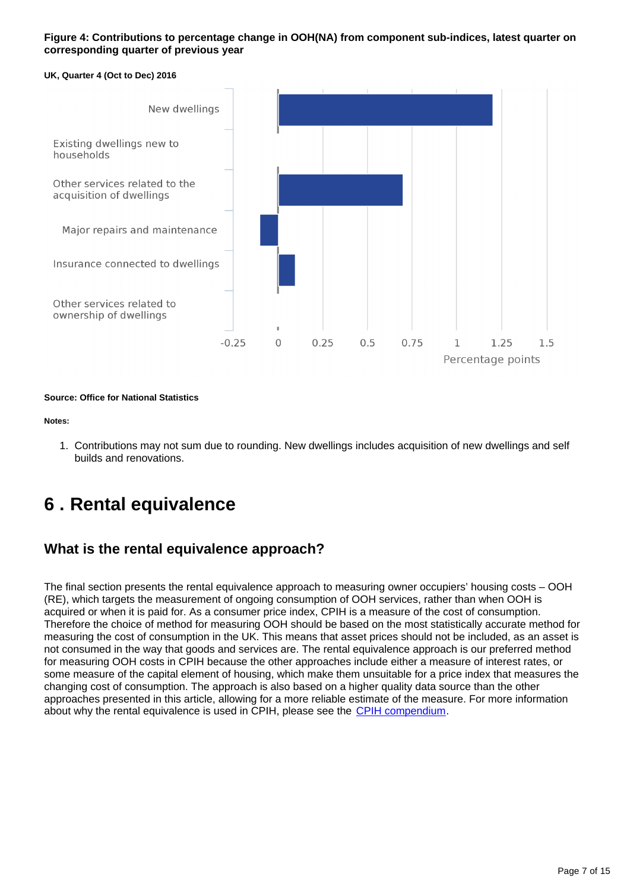#### **Figure 4: Contributions to percentage change in OOH(NA) from component sub-indices, latest quarter on corresponding quarter of previous year**

#### **UK, Quarter 4 (Oct to Dec) 2016**



**Source: Office for National Statistics**

#### **Notes:**

1. Contributions may not sum due to rounding. New dwellings includes acquisition of new dwellings and self builds and renovations.

# <span id="page-6-0"></span>**6 . Rental equivalence**

### **What is the rental equivalence approach?**

The final section presents the rental equivalence approach to measuring owner occupiers' housing costs – OOH (RE), which targets the measurement of ongoing consumption of OOH services, rather than when OOH is acquired or when it is paid for. As a consumer price index, CPIH is a measure of the cost of consumption. Therefore the choice of method for measuring OOH should be based on the most statistically accurate method for measuring the cost of consumption in the UK. This means that asset prices should not be included, as an asset is not consumed in the way that goods and services are. The rental equivalence approach is our preferred method for measuring OOH costs in CPIH because the other approaches include either a measure of interest rates, or some measure of the capital element of housing, which make them unsuitable for a price index that measures the changing cost of consumption. The approach is also based on a higher quality data source than the other approaches presented in this article, allowing for a more reliable estimate of the measure. For more information about why the rental equivalence is used in CPIH, please see the [CPIH compendium.](https://www.ons.gov.uk/economy/inflationandpriceindices/qmis/consumerpriceinflationqmi)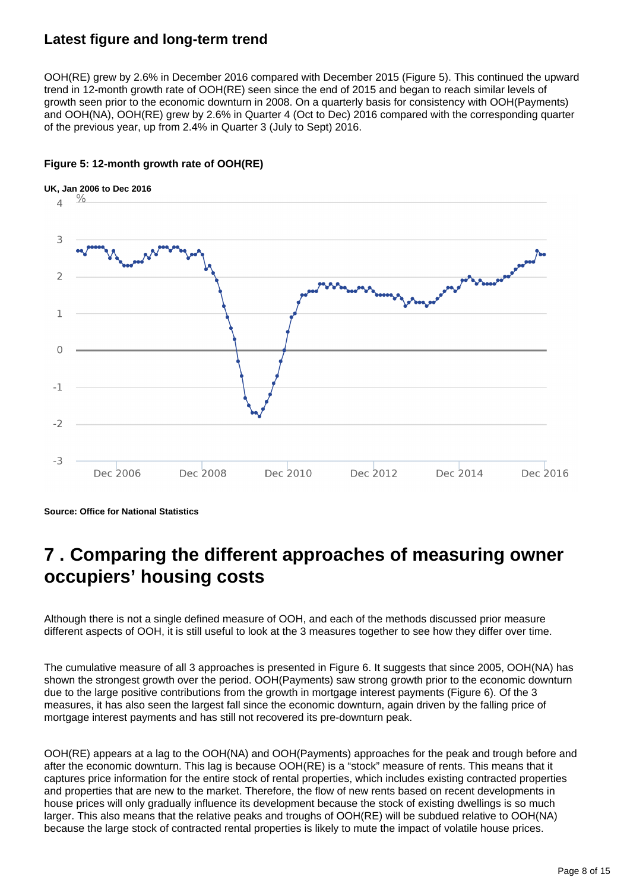### **Latest figure and long-term trend**

OOH(RE) grew by 2.6% in December 2016 compared with December 2015 (Figure 5). This continued the upward trend in 12-month growth rate of OOH(RE) seen since the end of 2015 and began to reach similar levels of growth seen prior to the economic downturn in 2008. On a quarterly basis for consistency with OOH(Payments) and OOH(NA), OOH(RE) grew by 2.6% in Quarter 4 (Oct to Dec) 2016 compared with the corresponding quarter of the previous year, up from 2.4% in Quarter 3 (July to Sept) 2016.



### **Figure 5: 12-month growth rate of OOH(RE)**

**Source: Office for National Statistics**

## <span id="page-7-0"></span>**7 . Comparing the different approaches of measuring owner occupiers' housing costs**

Although there is not a single defined measure of OOH, and each of the methods discussed prior measure different aspects of OOH, it is still useful to look at the 3 measures together to see how they differ over time.

The cumulative measure of all 3 approaches is presented in Figure 6. It suggests that since 2005, OOH(NA) has shown the strongest growth over the period. OOH(Payments) saw strong growth prior to the economic downturn due to the large positive contributions from the growth in mortgage interest payments (Figure 6). Of the 3 measures, it has also seen the largest fall since the economic downturn, again driven by the falling price of mortgage interest payments and has still not recovered its pre-downturn peak.

OOH(RE) appears at a lag to the OOH(NA) and OOH(Payments) approaches for the peak and trough before and after the economic downturn. This lag is because OOH(RE) is a "stock" measure of rents. This means that it captures price information for the entire stock of rental properties, which includes existing contracted properties and properties that are new to the market. Therefore, the flow of new rents based on recent developments in house prices will only gradually influence its development because the stock of existing dwellings is so much larger. This also means that the relative peaks and troughs of OOH(RE) will be subdued relative to OOH(NA) because the large stock of contracted rental properties is likely to mute the impact of volatile house prices.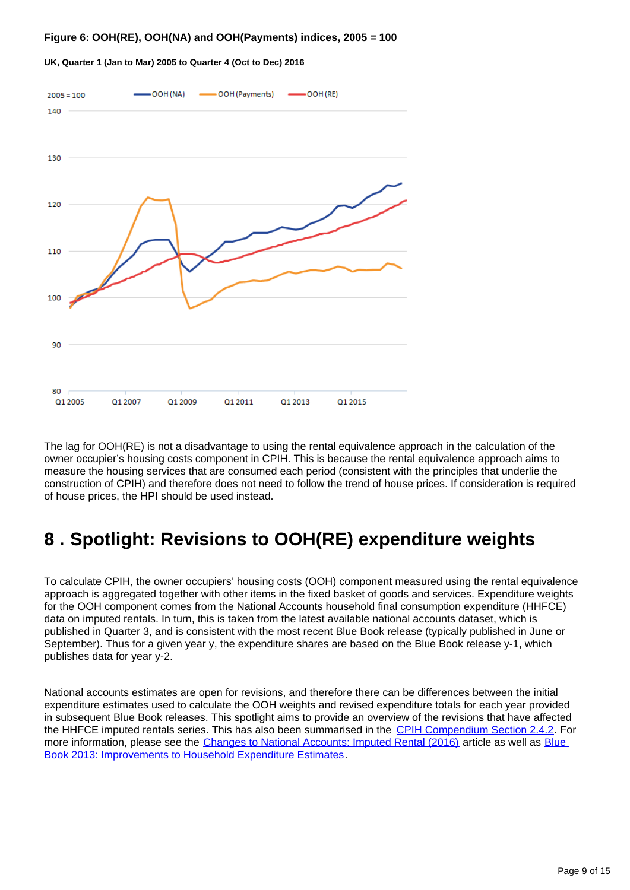#### **Figure 6: OOH(RE), OOH(NA) and OOH(Payments) indices, 2005 = 100**



#### **UK, Quarter 1 (Jan to Mar) 2005 to Quarter 4 (Oct to Dec) 2016**

The lag for OOH(RE) is not a disadvantage to using the rental equivalence approach in the calculation of the owner occupier's housing costs component in CPIH. This is because the rental equivalence approach aims to measure the housing services that are consumed each period (consistent with the principles that underlie the construction of CPIH) and therefore does not need to follow the trend of house prices. If consideration is required of house prices, the HPI should be used instead.

# <span id="page-8-0"></span>**8 . Spotlight: Revisions to OOH(RE) expenditure weights**

To calculate CPIH, the owner occupiers' housing costs (OOH) component measured using the rental equivalence approach is aggregated together with other items in the fixed basket of goods and services. Expenditure weights for the OOH component comes from the National Accounts household final consumption expenditure (HHFCE) data on imputed rentals. In turn, this is taken from the latest available national accounts dataset, which is published in Quarter 3, and is consistent with the most recent Blue Book release (typically published in June or September). Thus for a given year y, the expenditure shares are based on the Blue Book release y-1, which publishes data for year y-2.

National accounts estimates are open for revisions, and therefore there can be differences between the initial expenditure estimates used to calculate the OOH weights and revised expenditure totals for each year provided in subsequent Blue Book releases. This spotlight aims to provide an overview of the revisions that have affected the HHFCE imputed rentals series. This has also been summarised in the [CPIH Compendium Section 2.4.2.](https://www.ons.gov.uk/economy/inflationandpriceindices/articles/cpihcompendium/2016-10-13#section-2-constructing-the-rental-equivalence-measure-of-ooh) For more information, please see the [Changes to National Accounts: Imputed Rental \(2016\)](https://www.ons.gov.uk/economy/nationalaccounts/uksectoraccounts/articles/changestonationalaccounts/imputedrental) article as well as Blue [Book 2013: Improvements to Household Expenditure Estimates.](http://webarchive.nationalarchives.gov.uk/20160105160709/http:/www.ons.gov.uk/ons/dcp171766_315500.pdf)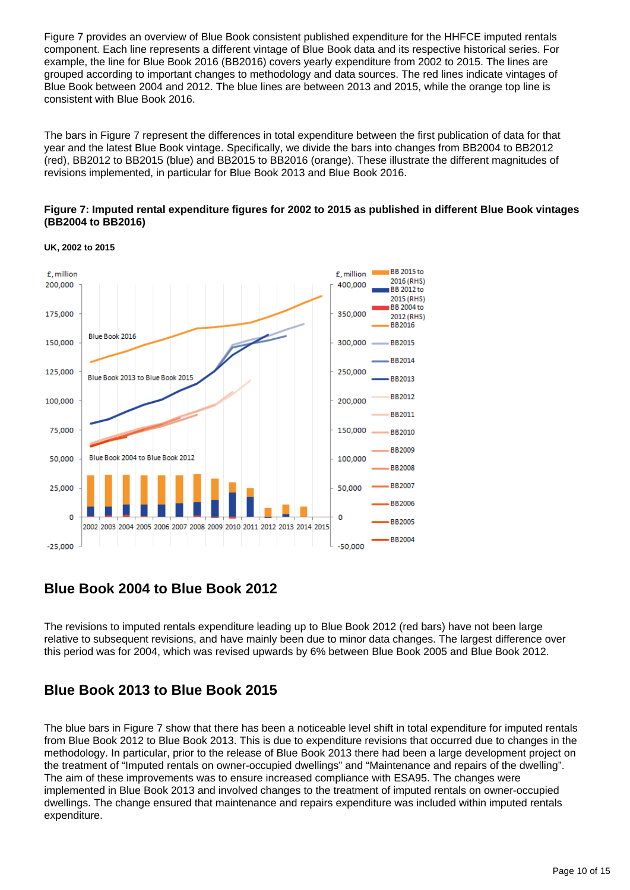Figure 7 provides an overview of Blue Book consistent published expenditure for the HHFCE imputed rentals component. Each line represents a different vintage of Blue Book data and its respective historical series. For example, the line for Blue Book 2016 (BB2016) covers yearly expenditure from 2002 to 2015. The lines are grouped according to important changes to methodology and data sources. The red lines indicate vintages of Blue Book between 2004 and 2012. The blue lines are between 2013 and 2015, while the orange top line is consistent with Blue Book 2016.

The bars in Figure 7 represent the differences in total expenditure between the first publication of data for that year and the latest Blue Book vintage. Specifically, we divide the bars into changes from BB2004 to BB2012 (red), BB2012 to BB2015 (blue) and BB2015 to BB2016 (orange). These illustrate the different magnitudes of revisions implemented, in particular for Blue Book 2013 and Blue Book 2016.

#### **Figure 7: Imputed rental expenditure figures for 2002 to 2015 as published in different Blue Book vintages (BB2004 to BB2016)**



**UK, 2002 to 2015**

### **Blue Book 2004 to Blue Book 2012**

The revisions to imputed rentals expenditure leading up to Blue Book 2012 (red bars) have not been large relative to subsequent revisions, and have mainly been due to minor data changes. The largest difference over this period was for 2004, which was revised upwards by 6% between Blue Book 2005 and Blue Book 2012.

### **Blue Book 2013 to Blue Book 2015**

The blue bars in Figure 7 show that there has been a noticeable level shift in total expenditure for imputed rentals from Blue Book 2012 to Blue Book 2013. This is due to expenditure revisions that occurred due to changes in the methodology. In particular, prior to the release of Blue Book 2013 there had been a large development project on the treatment of "Imputed rentals on owner-occupied dwellings" and "Maintenance and repairs of the dwelling". The aim of these improvements was to ensure increased compliance with ESA95. The changes were implemented in Blue Book 2013 and involved changes to the treatment of imputed rentals on owner-occupied dwellings. The change ensured that maintenance and repairs expenditure was included within imputed rentals expenditure.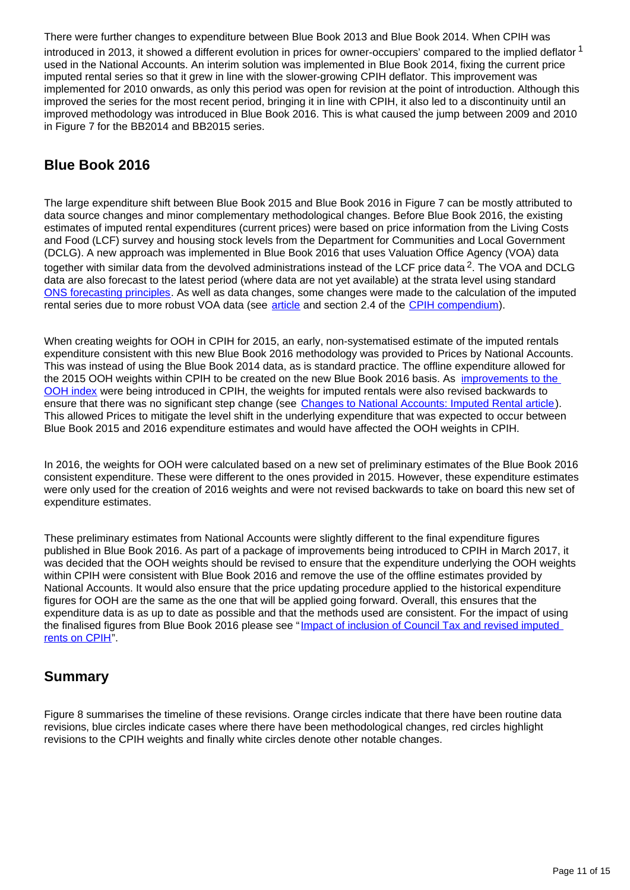There were further changes to expenditure between Blue Book 2013 and Blue Book 2014. When CPIH was introduced in 2013, it showed a different evolution in prices for owner-occupiers' compared to the implied deflator <sup>1</sup> used in the National Accounts. An interim solution was implemented in Blue Book 2014, fixing the current price imputed rental series so that it grew in line with the slower-growing CPIH deflator. This improvement was implemented for 2010 onwards, as only this period was open for revision at the point of introduction. Although this improved the series for the most recent period, bringing it in line with CPIH, it also led to a discontinuity until an improved methodology was introduced in Blue Book 2016. This is what caused the jump between 2009 and 2010 in Figure 7 for the BB2014 and BB2015 series.

### **Blue Book 2016**

The large expenditure shift between Blue Book 2015 and Blue Book 2016 in Figure 7 can be mostly attributed to data source changes and minor complementary methodological changes. Before Blue Book 2016, the existing estimates of imputed rental expenditures (current prices) were based on price information from the Living Costs and Food (LCF) survey and housing stock levels from the Department for Communities and Local Government (DCLG). A new approach was implemented in Blue Book 2016 that uses Valuation Office Agency (VOA) data together with similar data from the devolved administrations instead of the LCF price data<sup>2</sup>. The VOA and DCLG data are also forecast to the latest period (where data are not yet available) at the strata level using standard [ONS forecasting principles.](http://webarchive.nationalarchives.gov.uk/20160105160709/http:/www.ons.gov.uk/ons/guide-method/method-quality/specific/gss-methodology-series/ons-working-paper-series/index.html) As well as data changes, some changes were made to the calculation of the imputed rental series due to more robust VOA data (see [article](https://www.ons.gov.uk/economy/nationalaccounts/uksectoraccounts/articles/changestonationalaccounts/imputedrental) and section 2.4 of the [CPIH compendium\)](https://www.ons.gov.uk/economy/inflationandpriceindices/articles/cpihcompendium/2016-10-13).

When creating weights for OOH in CPIH for 2015, an early, non-systematised estimate of the imputed rentals expenditure consistent with this new Blue Book 2016 methodology was provided to Prices by National Accounts. This was instead of using the Blue Book 2014 data, as is standard practice. The offline expenditure allowed for the 2015 OOH weights within CPIH to be created on the new Blue Book 2016 basis. As improvements to the [OOH index](http://webarchive.nationalarchives.gov.uk/20160105160709/http:/www.ons.gov.uk/ons/rel/cpi/consumer-price-indices/improvements-to-the-measurement-of-owner-occupiers--housing-costs-and-private-housing-rental-prices/index.html) were being introduced in CPIH, the weights for imputed rentals were also revised backwards to ensure that there was no significant step change (see [Changes to National Accounts: Imputed Rental article\)](http://webarchive.nationalarchives.gov.uk/20160105160709/http:/www.ons.gov.uk/ons/rel/cpi/consumer-price-indices/revising-the-weight-of-owner-occupiers--housing-in-cpih/index.html). This allowed Prices to mitigate the level shift in the underlying expenditure that was expected to occur between Blue Book 2015 and 2016 expenditure estimates and would have affected the OOH weights in CPIH.

In 2016, the weights for OOH were calculated based on a new set of preliminary estimates of the Blue Book 2016 consistent expenditure. These were different to the ones provided in 2015. However, these expenditure estimates were only used for the creation of 2016 weights and were not revised backwards to take on board this new set of expenditure estimates.

These preliminary estimates from National Accounts were slightly different to the final expenditure figures published in Blue Book 2016. As part of a package of improvements being introduced to CPIH in March 2017, it was decided that the OOH weights should be revised to ensure that the expenditure underlying the OOH weights within CPIH were consistent with Blue Book 2016 and remove the use of the offline estimates provided by National Accounts. It would also ensure that the price updating procedure applied to the historical expenditure figures for OOH are the same as the one that will be applied going forward. Overall, this ensures that the expenditure data is as up to date as possible and that the methods used are consistent. For the impact of using the finalised figures from Blue Book 2016 please see "[Impact of inclusion of Council Tax and revised imputed](https://www.ons.gov.uk/economy/inflationandpriceindices/articles/impactofinclusionofcounciltaxandrevisedimputedrentsoncpih/dec2016)  [rents on CPIH"](https://www.ons.gov.uk/economy/inflationandpriceindices/articles/impactofinclusionofcounciltaxandrevisedimputedrentsoncpih/dec2016).

### **Summary**

Figure 8 summarises the timeline of these revisions. Orange circles indicate that there have been routine data revisions, blue circles indicate cases where there have been methodological changes, red circles highlight revisions to the CPIH weights and finally white circles denote other notable changes.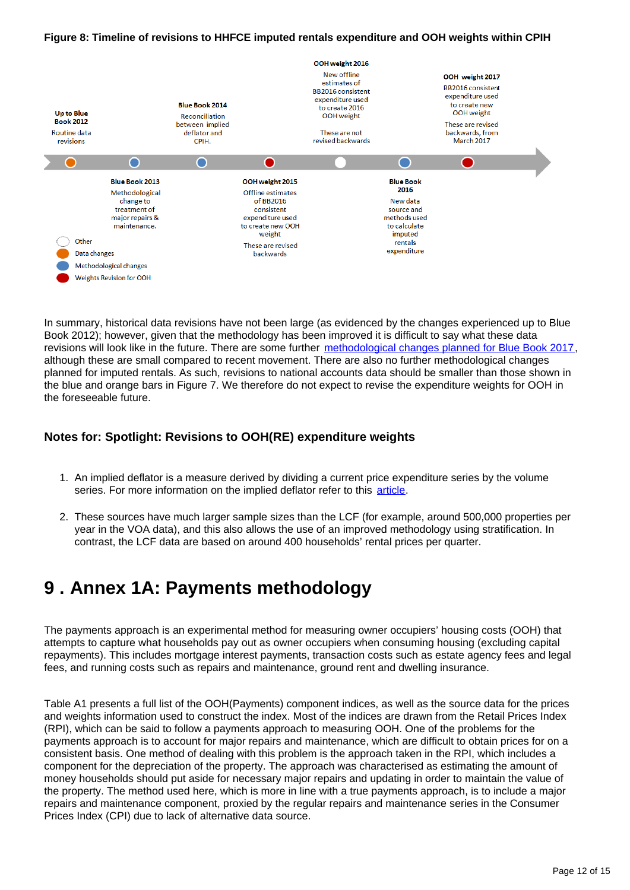#### **Figure 8: Timeline of revisions to HHFCE imputed rentals expenditure and OOH weights within CPIH**



In summary, historical data revisions have not been large (as evidenced by the changes experienced up to Blue Book 2012); however, given that the methodology has been improved it is difficult to say what these data revisions will look like in the future. There are some further [methodological changes planned for Blue Book 2017](https://www.ons.gov.uk/economy/nationalaccounts/uksectoraccounts/articles/nationalaccountsarticles/actualandimputedrentalbluebook2017), although these are small compared to recent movement. There are also no further methodological changes planned for imputed rentals. As such, revisions to national accounts data should be smaller than those shown in the blue and orange bars in Figure 7. We therefore do not expect to revise the expenditure weights for OOH in the foreseeable future.

### **Notes for: Spotlight: Revisions to OOH(RE) expenditure weights**

- 1. An implied deflator is a measure derived by dividing a current price expenditure series by the volume series. For more information on the implied deflator refer to this [article](http://webarchive.nationalarchives.gov.uk/20160105160709/http:/www.ons.gov.uk/ons/guide-method/user-guidance/prices/cpi-and-rpi/mini-triennial-review-of-the-consumer-prices-index-and-retail-prices-index.pdf).
- 2. These sources have much larger sample sizes than the LCF (for example, around 500,000 properties per year in the VOA data), and this also allows the use of an improved methodology using stratification. In contrast, the LCF data are based on around 400 households' rental prices per quarter.

### <span id="page-11-0"></span>**9 . Annex 1A: Payments methodology**

The payments approach is an experimental method for measuring owner occupiers' housing costs (OOH) that attempts to capture what households pay out as owner occupiers when consuming housing (excluding capital repayments). This includes mortgage interest payments, transaction costs such as estate agency fees and legal fees, and running costs such as repairs and maintenance, ground rent and dwelling insurance.

Table A1 presents a full list of the OOH(Payments) component indices, as well as the source data for the prices and weights information used to construct the index. Most of the indices are drawn from the Retail Prices Index (RPI), which can be said to follow a payments approach to measuring OOH. One of the problems for the payments approach is to account for major repairs and maintenance, which are difficult to obtain prices for on a consistent basis. One method of dealing with this problem is the approach taken in the RPI, which includes a component for the depreciation of the property. The approach was characterised as estimating the amount of money households should put aside for necessary major repairs and updating in order to maintain the value of the property. The method used here, which is more in line with a true payments approach, is to include a major repairs and maintenance component, proxied by the regular repairs and maintenance series in the Consumer Prices Index (CPI) due to lack of alternative data source.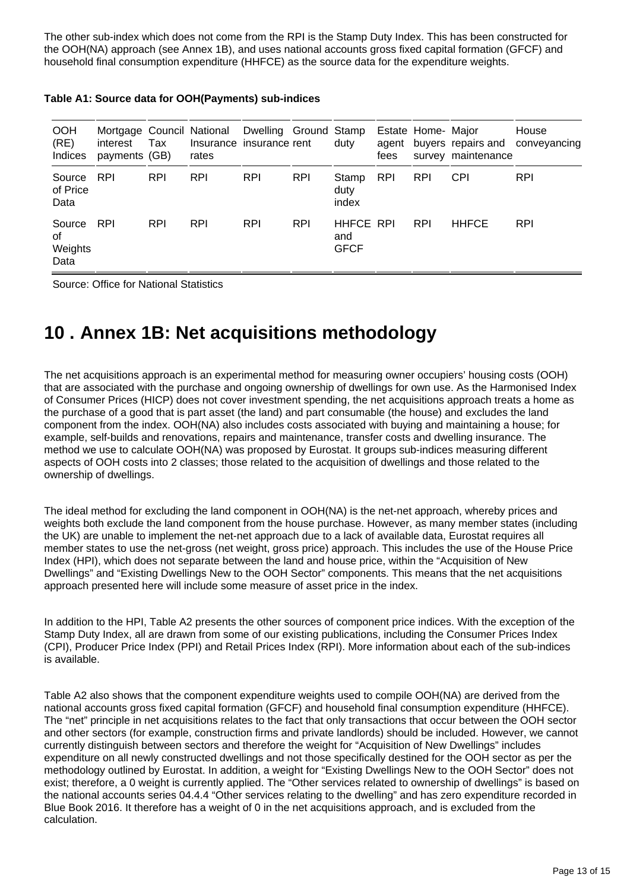The other sub-index which does not come from the RPI is the Stamp Duty Index. This has been constructed for the OOH(NA) approach (see Annex 1B), and uses national accounts gross fixed capital formation (GFCF) and household final consumption expenditure (HHFCE) as the source data for the expenditure weights.

| <b>OOH</b><br>(RE)<br><b>Indices</b> | interest<br>payments (GB) | Tax        | Mortgage Council National Dwelling Ground Stamp<br>rates | Insurance insurance rent |            | duty                                   | agent<br>fees | Estate Home- Major | buyers repairs and<br>survey maintenance | House<br>conveyancing |
|--------------------------------------|---------------------------|------------|----------------------------------------------------------|--------------------------|------------|----------------------------------------|---------------|--------------------|------------------------------------------|-----------------------|
| Source<br>of Price<br>Data           | <b>RPI</b>                | <b>RPI</b> | <b>RPI</b>                                               | <b>RPI</b>               | <b>RPI</b> | Stamp<br>duty<br>index                 | <b>RPI</b>    | <b>RPI</b>         | <b>CPI</b>                               | <b>RPI</b>            |
| Source<br>οf<br>Weights<br>Data      | <b>RPI</b>                | <b>RPI</b> | <b>RPI</b>                                               | <b>RPI</b>               | <b>RPI</b> | <b>HHFCE RPI</b><br>and<br><b>GFCF</b> |               | <b>RPI</b>         | <b>HHFCE</b>                             | <b>RPI</b>            |

Source: Office for National Statistics

## <span id="page-12-0"></span>**10 . Annex 1B: Net acquisitions methodology**

The net acquisitions approach is an experimental method for measuring owner occupiers' housing costs (OOH) that are associated with the purchase and ongoing ownership of dwellings for own use. As the Harmonised Index of Consumer Prices (HICP) does not cover investment spending, the net acquisitions approach treats a home as the purchase of a good that is part asset (the land) and part consumable (the house) and excludes the land component from the index. OOH(NA) also includes costs associated with buying and maintaining a house; for example, self-builds and renovations, repairs and maintenance, transfer costs and dwelling insurance. The method we use to calculate OOH(NA) was proposed by Eurostat. It groups sub-indices measuring different aspects of OOH costs into 2 classes; those related to the acquisition of dwellings and those related to the ownership of dwellings.

The ideal method for excluding the land component in OOH(NA) is the net-net approach, whereby prices and weights both exclude the land component from the house purchase. However, as many member states (including the UK) are unable to implement the net-net approach due to a lack of available data, Eurostat requires all member states to use the net-gross (net weight, gross price) approach. This includes the use of the House Price Index (HPI), which does not separate between the land and house price, within the "Acquisition of New Dwellings" and "Existing Dwellings New to the OOH Sector" components. This means that the net acquisitions approach presented here will include some measure of asset price in the index.

In addition to the HPI, Table A2 presents the other sources of component price indices. With the exception of the Stamp Duty Index, all are drawn from some of our existing publications, including the Consumer Prices Index (CPI), Producer Price Index (PPI) and Retail Prices Index (RPI). More information about each of the sub-indices is available.

Table A2 also shows that the component expenditure weights used to compile OOH(NA) are derived from the national accounts gross fixed capital formation (GFCF) and household final consumption expenditure (HHFCE). The "net" principle in net acquisitions relates to the fact that only transactions that occur between the OOH sector and other sectors (for example, construction firms and private landlords) should be included. However, we cannot currently distinguish between sectors and therefore the weight for "Acquisition of New Dwellings" includes expenditure on all newly constructed dwellings and not those specifically destined for the OOH sector as per the methodology outlined by Eurostat. In addition, a weight for "Existing Dwellings New to the OOH Sector" does not exist; therefore, a 0 weight is currently applied. The "Other services related to ownership of dwellings" is based on the national accounts series 04.4.4 "Other services relating to the dwelling" and has zero expenditure recorded in Blue Book 2016. It therefore has a weight of 0 in the net acquisitions approach, and is excluded from the calculation.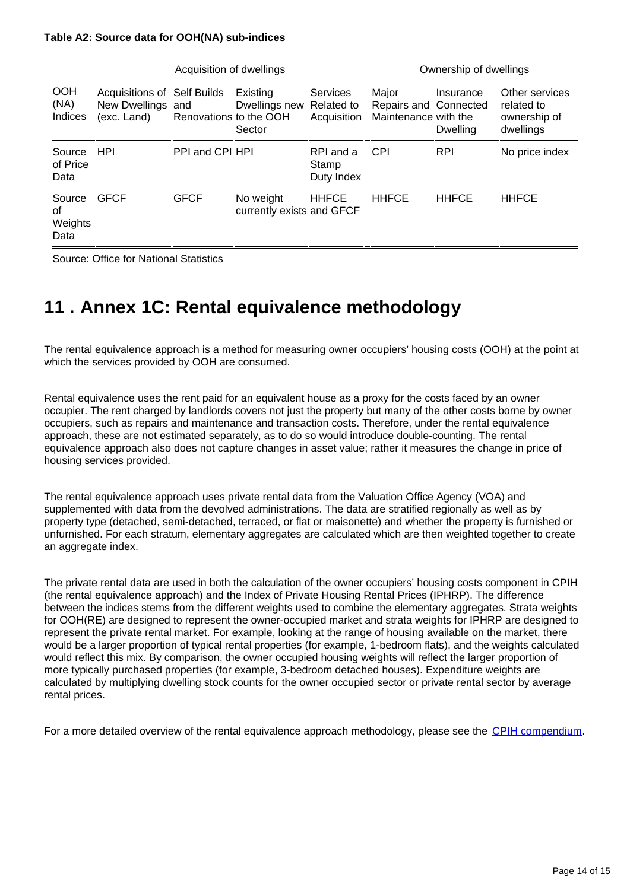#### **Table A2: Source data for OOH(NA) sub-indices**

|                                 |                                                                        | Acquisition of dwellings |                                        | Ownership of dwellings                       |                                                        |                       |                                                           |
|---------------------------------|------------------------------------------------------------------------|--------------------------|----------------------------------------|----------------------------------------------|--------------------------------------------------------|-----------------------|-----------------------------------------------------------|
| <b>OOH</b><br>(NA)<br>Indices   | <b>Acquisitions of Self Builds</b><br>New Dwellings and<br>(exc. Land) | Renovations to the OOH   | Existing<br>Dwellings new<br>Sector    | <b>Services</b><br>Related to<br>Acquisition | Major<br>Repairs and Connected<br>Maintenance with the | Insurance<br>Dwelling | Other services<br>related to<br>ownership of<br>dwellings |
| Source<br>of Price<br>Data      | <b>HPI</b>                                                             | PPI and CPI HPI          |                                        | RPI and a<br>Stamp<br>Duty Index             | <b>CPI</b>                                             | <b>RPI</b>            | No price index                                            |
| Source<br>of<br>Weights<br>Data | <b>GFCF</b>                                                            | <b>GFCF</b>              | No weight<br>currently exists and GFCF | <b>HHFCE</b>                                 | <b>HHFCE</b>                                           | <b>HHFCE</b>          | <b>HHFCE</b>                                              |

Source: Office for National Statistics

# <span id="page-13-0"></span>**11 . Annex 1C: Rental equivalence methodology**

The rental equivalence approach is a method for measuring owner occupiers' housing costs (OOH) at the point at which the services provided by OOH are consumed.

Rental equivalence uses the rent paid for an equivalent house as a proxy for the costs faced by an owner occupier. The rent charged by landlords covers not just the property but many of the other costs borne by owner occupiers, such as repairs and maintenance and transaction costs. Therefore, under the rental equivalence approach, these are not estimated separately, as to do so would introduce double-counting. The rental equivalence approach also does not capture changes in asset value; rather it measures the change in price of housing services provided.

The rental equivalence approach uses private rental data from the Valuation Office Agency (VOA) and supplemented with data from the devolved administrations. The data are stratified regionally as well as by property type (detached, semi-detached, terraced, or flat or maisonette) and whether the property is furnished or unfurnished. For each stratum, elementary aggregates are calculated which are then weighted together to create an aggregate index.

The private rental data are used in both the calculation of the owner occupiers' housing costs component in CPIH (the rental equivalence approach) and the Index of Private Housing Rental Prices (IPHRP). The difference between the indices stems from the different weights used to combine the elementary aggregates. Strata weights for OOH(RE) are designed to represent the owner-occupied market and strata weights for IPHRP are designed to represent the private rental market. For example, looking at the range of housing available on the market, there would be a larger proportion of typical rental properties (for example, 1-bedroom flats), and the weights calculated would reflect this mix. By comparison, the owner occupied housing weights will reflect the larger proportion of more typically purchased properties (for example, 3-bedroom detached houses). Expenditure weights are calculated by multiplying dwelling stock counts for the owner occupied sector or private rental sector by average rental prices.

For a more detailed overview of the rental equivalence approach methodology, please see the [CPIH compendium](https://www.ons.gov.uk/economy/inflationandpriceindices/articles/cpihcompendium/2016-10-13).